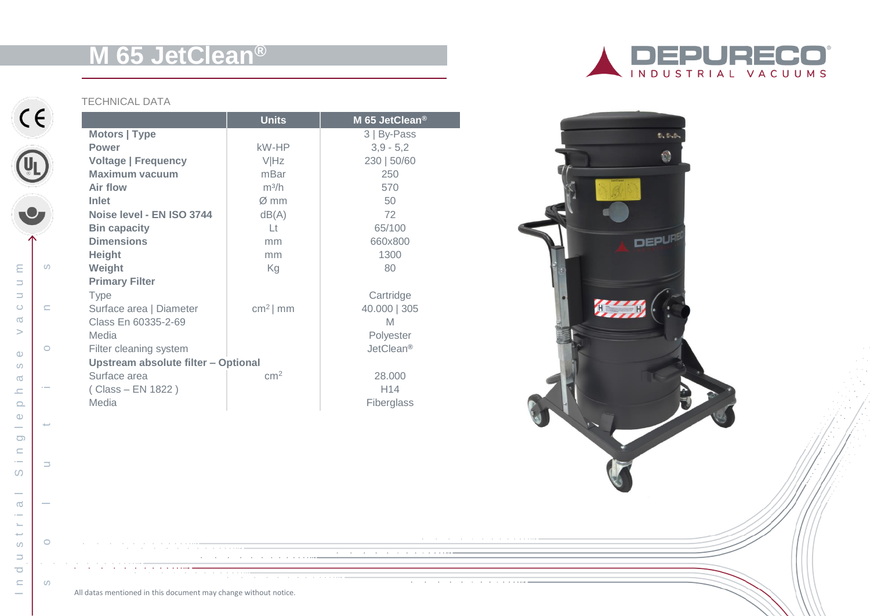# **M 65 JetClean ®**

## TECHNICAL DATA

|                                     | <b>Units</b>     | M 65 JetClean <sup>®</sup> |
|-------------------------------------|------------------|----------------------------|
| Motors   Type                       |                  | 3   By-Pass                |
| <b>Power</b>                        | kW-HP            | $3,9 - 5,2$                |
| <b>Voltage   Frequency</b>          | <b>VIHz</b>      | 230   50/60                |
| <b>Maximum vacuum</b>               | mBar             | 250                        |
| Air flow                            | $m^3/h$          | 570                        |
| Inlet                               | $\varnothing$ mm | 50                         |
| Noise level - EN ISO 3744           | dB(A)            | 72                         |
| <b>Bin capacity</b>                 | Lt               | 65/100                     |
| <b>Dimensions</b>                   | mm               | 660x800                    |
| <b>Height</b>                       | mm               | 1300                       |
| Weight                              | Kg               | 80                         |
| <b>Primary Filter</b>               |                  |                            |
| <b>Type</b>                         |                  | Cartridge                  |
| Surface area   Diameter             | $cm2$ mm         | 40.000   305               |
| Class En 60335-2-69                 |                  | M                          |
| Media                               |                  | Polyester                  |
| Filter cleaning system              |                  | JetClean <sup>®</sup>      |
| Upstream absolute filter - Optional |                  |                            |
| Surface area                        | cm <sup>2</sup>  | 28,000                     |
| (Class – EN 1822)                   |                  | H <sub>14</sub>            |
| Media                               |                  | Fiberglass                 |

<u> 1980 - Johann Stein, fransk politiker (d. 1980)</u>

the contract of the contract of the contract of





All datas mentioned in this document may change without notice.

 $\alpha$  , and  $\alpha$  , and  $\alpha$  , and  $\alpha$  , and  $\alpha$ 

 $\overline{\phantom{a}}$ 

 $\infty$  $\sim$  $\sigma$  $\overline{\phantom{a}}$  $\sim$  $\rightarrow$ 

 $\circ$ 

 $\Box$ 

 $\overline{\mathbf{C}}$ 

 $\subseteq$ 

 $\sim$ 

 $\epsilon$ 

 $\circ$ 

 $\subseteq$ 

 $\circ$ 

 $C \in$ 

UL

s o l u t i s

 $\rightarrow$ 

 $\Rightarrow$ 

 $\circ$ 

 $\circ$